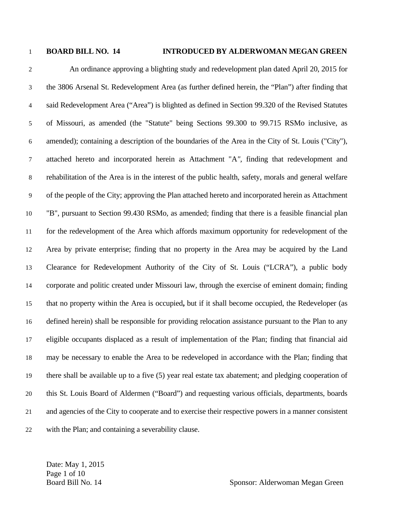## 1 **BOARD BILL NO. 14 INTRODUCED BY ALDERWOMAN MEGAN GREEN**

2 An ordinance approving a blighting study and redevelopment plan dated April 20, 2015 for 3 the 3806 Arsenal St. Redevelopment Area (as further defined herein, the "Plan") after finding that 4 said Redevelopment Area ("Area") is blighted as defined in Section 99.320 of the Revised Statutes 5 of Missouri, as amended (the "Statute" being Sections 99.300 to 99.715 RSMo inclusive, as 6 amended); containing a description of the boundaries of the Area in the City of St. Louis ("City"), 7 attached hereto and incorporated herein as Attachment "A*",* finding that redevelopment and 8 rehabilitation of the Area is in the interest of the public health, safety, morals and general welfare 9 of the people of the City; approving the Plan attached hereto and incorporated herein as Attachment 10 "B", pursuant to Section 99.430 RSMo, as amended; finding that there is a feasible financial plan 11 for the redevelopment of the Area which affords maximum opportunity for redevelopment of the 12 Area by private enterprise; finding that no property in the Area may be acquired by the Land 13 Clearance for Redevelopment Authority of the City of St. Louis ("LCRA"), a public body 14 corporate and politic created under Missouri law, through the exercise of eminent domain; finding 15 that no property within the Area is occupied**,** but if it shall become occupied, the Redeveloper (as 16 defined herein) shall be responsible for providing relocation assistance pursuant to the Plan to any 17 eligible occupants displaced as a result of implementation of the Plan; finding that financial aid 18 may be necessary to enable the Area to be redeveloped in accordance with the Plan; finding that 19 there shall be available up to a five (5) year real estate tax abatement; and pledging cooperation of 20 this St. Louis Board of Aldermen ("Board") and requesting various officials, departments, boards 21 and agencies of the City to cooperate and to exercise their respective powers in a manner consistent 22 with the Plan; and containing a severability clause.

Date: May 1, 2015 Page 1 of 10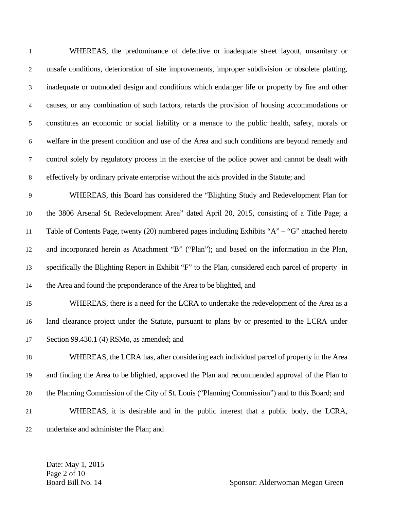| 1              | WHEREAS, the predominance of defective or inadequate street layout, unsanitary or                   |
|----------------|-----------------------------------------------------------------------------------------------------|
| $\overline{2}$ | unsafe conditions, deterioration of site improvements, improper subdivision or obsolete platting,   |
| $\mathfrak{Z}$ | inadequate or outmoded design and conditions which endanger life or property by fire and other      |
| 4              | causes, or any combination of such factors, retards the provision of housing accommodations or      |
| $\mathfrak{S}$ | constitutes an economic or social liability or a menace to the public health, safety, morals or     |
| 6              | welfare in the present condition and use of the Area and such conditions are beyond remedy and      |
| $\overline{7}$ | control solely by regulatory process in the exercise of the police power and cannot be dealt with   |
| $8\,$          | effectively by ordinary private enterprise without the aids provided in the Statute; and            |
| $\overline{9}$ | WHEREAS, this Board has considered the "Blighting Study and Redevelopment Plan for                  |
| 10             | the 3806 Arsenal St. Redevelopment Area" dated April 20, 2015, consisting of a Title Page; a        |
| 11             | Table of Contents Page, twenty (20) numbered pages including Exhibits "A" – "G" attached hereto     |
| 12             | and incorporated herein as Attachment "B" ("Plan"); and based on the information in the Plan,       |
| 13             | specifically the Blighting Report in Exhibit "F" to the Plan, considered each parcel of property in |
| 14             | the Area and found the preponderance of the Area to be blighted, and                                |
| 15             | WHEREAS, there is a need for the LCRA to undertake the redevelopment of the Area as a               |
| 16             | land clearance project under the Statute, pursuant to plans by or presented to the LCRA under       |
| $17\,$         | Section 99.430.1 (4) RSMo, as amended; and                                                          |
| 18             | WHEREAS, the LCRA has, after considering each individual parcel of property in the Area             |
| 19             | and finding the Area to be blighted, approved the Plan and recommended approval of the Plan to      |
| 20             | the Planning Commission of the City of St. Louis ("Planning Commission") and to this Board; and     |
| 21             | WHEREAS, it is desirable and in the public interest that a public body, the LCRA,                   |
| 22             | undertake and administer the Plan; and                                                              |

Date: May 1, 2015 Page 2 of 10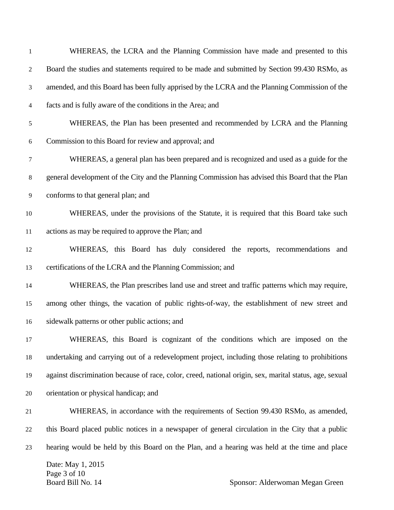| $\mathbf{1}$   | WHEREAS, the LCRA and the Planning Commission have made and presented to this                           |
|----------------|---------------------------------------------------------------------------------------------------------|
| $\overline{2}$ | Board the studies and statements required to be made and submitted by Section 99.430 RSMo, as           |
| 3              | amended, and this Board has been fully apprised by the LCRA and the Planning Commission of the          |
| 4              | facts and is fully aware of the conditions in the Area; and                                             |
| 5              | WHEREAS, the Plan has been presented and recommended by LCRA and the Planning                           |
| 6              | Commission to this Board for review and approval; and                                                   |
| 7              | WHEREAS, a general plan has been prepared and is recognized and used as a guide for the                 |
| $\,8\,$        | general development of the City and the Planning Commission has advised this Board that the Plan        |
| 9              | conforms to that general plan; and                                                                      |
| 10             | WHEREAS, under the provisions of the Statute, it is required that this Board take such                  |
| 11             | actions as may be required to approve the Plan; and                                                     |
| 12             | WHEREAS, this Board has duly considered the reports, recommendations and                                |
| 13             | certifications of the LCRA and the Planning Commission; and                                             |
| 14             | WHEREAS, the Plan prescribes land use and street and traffic patterns which may require,                |
| 15             | among other things, the vacation of public rights-of-way, the establishment of new street and           |
| 16             | sidewalk patterns or other public actions; and                                                          |
| 17             | WHEREAS, this Board is cognizant of the conditions which are imposed on the                             |
| 18             | undertaking and carrying out of a redevelopment project, including those relating to prohibitions       |
| 19             | against discrimination because of race, color, creed, national origin, sex, marital status, age, sexual |
| 20             | orientation or physical handicap; and                                                                   |
| 21             | WHEREAS, in accordance with the requirements of Section 99.430 RSMo, as amended,                        |
| 22             | this Board placed public notices in a newspaper of general circulation in the City that a public        |
| 23             | hearing would be held by this Board on the Plan, and a hearing was held at the time and place           |
|                | Date: May 1, 2015<br>Page 3 of 10                                                                       |
|                | Board Bill No. 14<br>Sponsor: Alderwoman Megan Green                                                    |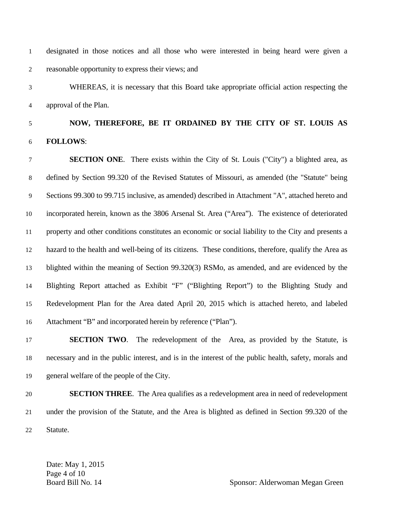1 designated in those notices and all those who were interested in being heard were given a 2 reasonable opportunity to express their views; and

3 WHEREAS, it is necessary that this Board take appropriate official action respecting the 4 approval of the Plan.

## 5 **NOW, THEREFORE, BE IT ORDAINED BY THE CITY OF ST. LOUIS AS**  6 **FOLLOWS**:

7 **SECTION ONE**. There exists within the City of St. Louis ("City") a blighted area, as 8 defined by Section 99.320 of the Revised Statutes of Missouri, as amended (the "Statute" being 9 Sections 99.300 to 99.715 inclusive, as amended) described in Attachment "A", attached hereto and 10 incorporated herein, known as the 3806 Arsenal St. Area ("Area"). The existence of deteriorated 11 property and other conditions constitutes an economic or social liability to the City and presents a 12 hazard to the health and well-being of its citizens. These conditions, therefore, qualify the Area as 13 blighted within the meaning of Section 99.320(3) RSMo, as amended, and are evidenced by the 14 Blighting Report attached as Exhibit "F" ("Blighting Report") to the Blighting Study and 15 Redevelopment Plan for the Area dated April 20, 2015 which is attached hereto, and labeled 16 Attachment "B" and incorporated herein by reference ("Plan").

17 **SECTION TWO**. The redevelopment of the Area, as provided by the Statute, is 18 necessary and in the public interest, and is in the interest of the public health, safety, morals and 19 general welfare of the people of the City.

20 **SECTION THREE**. The Area qualifies as a redevelopment area in need of redevelopment 21 under the provision of the Statute, and the Area is blighted as defined in Section 99.320 of the 22 Statute.

Date: May 1, 2015 Page 4 of 10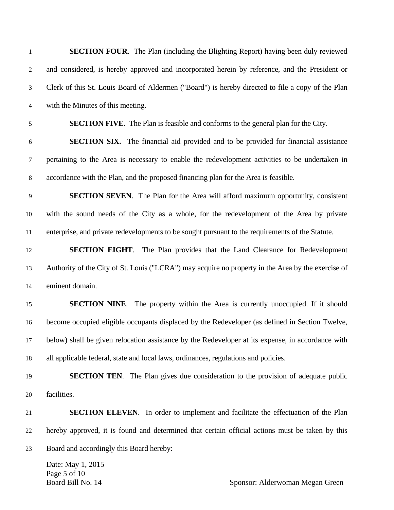| 1                | <b>SECTION FOUR.</b> The Plan (including the Blighting Report) having been duly reviewed           |
|------------------|----------------------------------------------------------------------------------------------------|
| $\mathbf{2}$     | and considered, is hereby approved and incorporated herein by reference, and the President or      |
| $\mathfrak{Z}$   | Clerk of this St. Louis Board of Aldermen ("Board") is hereby directed to file a copy of the Plan  |
| $\overline{4}$   | with the Minutes of this meeting.                                                                  |
| 5                | <b>SECTION FIVE.</b> The Plan is feasible and conforms to the general plan for the City.           |
| $\boldsymbol{6}$ | <b>SECTION SIX.</b> The financial aid provided and to be provided for financial assistance         |
| $\tau$           | pertaining to the Area is necessary to enable the redevelopment activities to be undertaken in     |
| $\,8\,$          | accordance with the Plan, and the proposed financing plan for the Area is feasible.                |
| $\overline{9}$   | <b>SECTION SEVEN.</b> The Plan for the Area will afford maximum opportunity, consistent            |
| 10               | with the sound needs of the City as a whole, for the redevelopment of the Area by private          |
| 11               | enterprise, and private redevelopments to be sought pursuant to the requirements of the Statute.   |
| 12               | <b>SECTION EIGHT.</b> The Plan provides that the Land Clearance for Redevelopment                  |
| 13               | Authority of the City of St. Louis ("LCRA") may acquire no property in the Area by the exercise of |
| 14               | eminent domain.                                                                                    |
| 15               | <b>SECTION NINE.</b> The property within the Area is currently unoccupied. If it should            |
| 16               | become occupied eligible occupants displaced by the Redeveloper (as defined in Section Twelve,     |
| 17               | below) shall be given relocation assistance by the Redeveloper at its expense, in accordance with  |
| 18               | all applicable federal, state and local laws, ordinances, regulations and policies.                |
| 19               | <b>SECTION TEN.</b> The Plan gives due consideration to the provision of adequate public           |
| 20               | facilities.                                                                                        |
| 21               | <b>SECTION ELEVEN.</b> In order to implement and facilitate the effectuation of the Plan           |
| 22               | hereby approved, it is found and determined that certain official actions must be taken by this    |
| 23               | Board and accordingly this Board hereby:                                                           |
|                  | Date: May 1, 2015<br>Page 5 of 10<br>Board Bill No. 14<br>Sponsor: Alderwoman Megan Green          |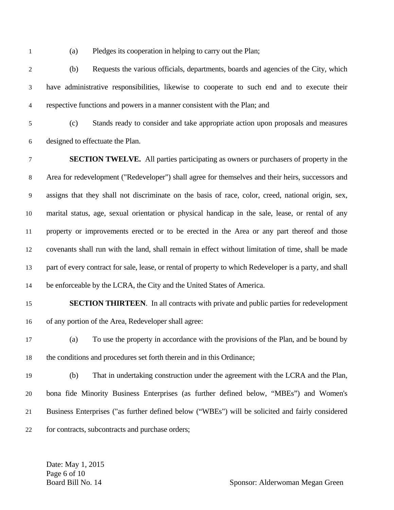1 (a) Pledges its cooperation in helping to carry out the Plan;

2 (b) Requests the various officials, departments, boards and agencies of the City, which 3 have administrative responsibilities, likewise to cooperate to such end and to execute their 4 respective functions and powers in a manner consistent with the Plan; and

5 (c) Stands ready to consider and take appropriate action upon proposals and measures 6 designed to effectuate the Plan.

7 **SECTION TWELVE.** All parties participating as owners or purchasers of property in the 8 Area for redevelopment ("Redeveloper") shall agree for themselves and their heirs, successors and 9 assigns that they shall not discriminate on the basis of race, color, creed, national origin, sex, 10 marital status, age, sexual orientation or physical handicap in the sale, lease, or rental of any 11 property or improvements erected or to be erected in the Area or any part thereof and those 12 covenants shall run with the land, shall remain in effect without limitation of time, shall be made 13 part of every contract for sale, lease, or rental of property to which Redeveloper is a party, and shall 14 be enforceable by the LCRA, the City and the United States of America.

## 15 **SECTION THIRTEEN**. In all contracts with private and public parties for redevelopment 16 of any portion of the Area, Redeveloper shall agree:

- 17 (a) To use the property in accordance with the provisions of the Plan, and be bound by 18 the conditions and procedures set forth therein and in this Ordinance;
- 19 (b) That in undertaking construction under the agreement with the LCRA and the Plan, 20 bona fide Minority Business Enterprises (as further defined below, "MBEs") and Women's 21 Business Enterprises ("as further defined below ("WBEs") will be solicited and fairly considered 22 for contracts, subcontracts and purchase orders;

Date: May 1, 2015 Page 6 of 10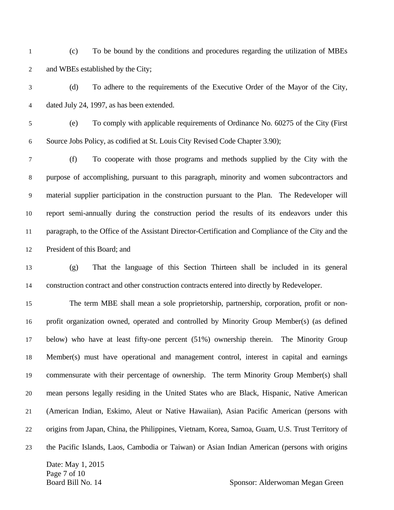- 1 (c) To be bound by the conditions and procedures regarding the utilization of MBEs 2 and WBEs established by the City;
- 3 (d) To adhere to the requirements of the Executive Order of the Mayor of the City, 4 dated July 24, 1997, as has been extended.
- 5 (e) To comply with applicable requirements of Ordinance No. 60275 of the City (First 6 Source Jobs Policy, as codified at St. Louis City Revised Code Chapter 3.90);

7 (f) To cooperate with those programs and methods supplied by the City with the 8 purpose of accomplishing, pursuant to this paragraph, minority and women subcontractors and 9 material supplier participation in the construction pursuant to the Plan. The Redeveloper will 10 report semi-annually during the construction period the results of its endeavors under this 11 paragraph, to the Office of the Assistant Director-Certification and Compliance of the City and the 12 President of this Board; and

13 (g) That the language of this Section Thirteen shall be included in its general 14 construction contract and other construction contracts entered into directly by Redeveloper.

15 The term MBE shall mean a sole proprietorship, partnership, corporation, profit or non-16 profit organization owned, operated and controlled by Minority Group Member(s) (as defined 17 below) who have at least fifty-one percent (51%) ownership therein. The Minority Group 18 Member(s) must have operational and management control, interest in capital and earnings 19 commensurate with their percentage of ownership. The term Minority Group Member(s) shall 20 mean persons legally residing in the United States who are Black, Hispanic, Native American 21 (American Indian, Eskimo, Aleut or Native Hawaiian), Asian Pacific American (persons with 22 origins from Japan, China, the Philippines, Vietnam, Korea, Samoa, Guam, U.S. Trust Territory of 23 the Pacific Islands, Laos, Cambodia or Taiwan) or Asian Indian American (persons with origins

Date: May 1, 2015 Page 7 of 10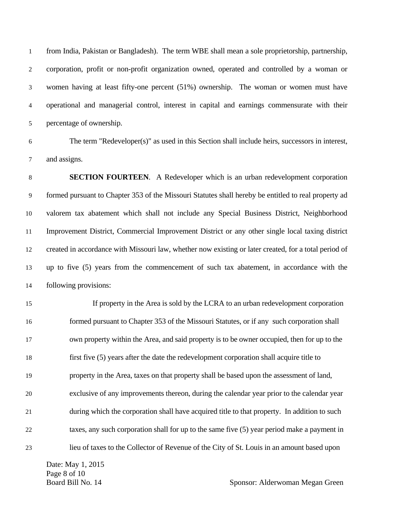1 from India, Pakistan or Bangladesh). The term WBE shall mean a sole proprietorship, partnership, 2 corporation, profit or non-profit organization owned, operated and controlled by a woman or 3 women having at least fifty-one percent (51%) ownership. The woman or women must have 4 operational and managerial control, interest in capital and earnings commensurate with their 5 percentage of ownership.

6 The term "Redeveloper(s)" as used in this Section shall include heirs, successors in interest, 7 and assigns.

8 **SECTION FOURTEEN**. A Redeveloper which is an urban redevelopment corporation 9 formed pursuant to Chapter 353 of the Missouri Statutes shall hereby be entitled to real property ad 10 valorem tax abatement which shall not include any Special Business District, Neighborhood 11 Improvement District, Commercial Improvement District or any other single local taxing district 12 created in accordance with Missouri law, whether now existing or later created, for a total period of 13 up to five (5) years from the commencement of such tax abatement, in accordance with the 14 following provisions:

15 If property in the Area is sold by the LCRA to an urban redevelopment corporation 16 formed pursuant to Chapter 353 of the Missouri Statutes, or if any such corporation shall 17 own property within the Area, and said property is to be owner occupied, then for up to the 18 first five (5) years after the date the redevelopment corporation shall acquire title to 19 property in the Area, taxes on that property shall be based upon the assessment of land, 20 exclusive of any improvements thereon, during the calendar year prior to the calendar year 21 during which the corporation shall have acquired title to that property. In addition to such 22 taxes, any such corporation shall for up to the same five (5) year period make a payment in 23 lieu of taxes to the Collector of Revenue of the City of St. Louis in an amount based upon

Date: May 1, 2015 Page 8 of 10

Board Bill No. 14 Sponsor: Alderwoman Megan Green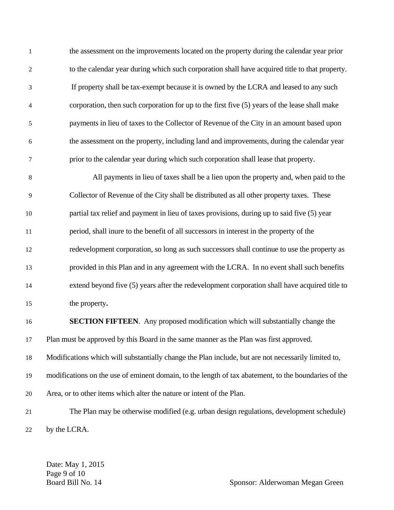1 the assessment on the improvements located on the property during the calendar year prior 2 to the calendar year during which such corporation shall have acquired title to that property. 3 If property shall be tax-exempt because it is owned by the LCRA and leased to any such 4 corporation, then such corporation for up to the first five (5) years of the lease shall make 5 payments in lieu of taxes to the Collector of Revenue of the City in an amount based upon 6 the assessment on the property, including land and improvements, during the calendar year 7 prior to the calendar year during which such corporation shall lease that property.

8 All payments in lieu of taxes shall be a lien upon the property and, when paid to the 9 Collector of Revenue of the City shall be distributed as all other property taxes. These 10 partial tax relief and payment in lieu of taxes provisions, during up to said five (5) year 11 period, shall inure to the benefit of all successors in interest in the property of the 12 redevelopment corporation, so long as such successors shall continue to use the property as 13 provided in this Plan and in any agreement with the LCRA. In no event shall such benefits 14 extend beyond five (5) years after the redevelopment corporation shall have acquired title to 15 the property**.** 

16 **SECTION FIFTEEN**. Any proposed modification which will substantially change the 17 Plan must be approved by this Board in the same manner as the Plan was first approved.

18 Modifications which will substantially change the Plan include, but are not necessarily limited to,

19 modifications on the use of eminent domain, to the length of tax abatement, to the boundaries of the

20 Area, or to other items which alter the nature or intent of the Plan.

21 The Plan may be otherwise modified (e.g. urban design regulations, development schedule) 22 by the LCRA.

Date: May 1, 2015 Page 9 of 10